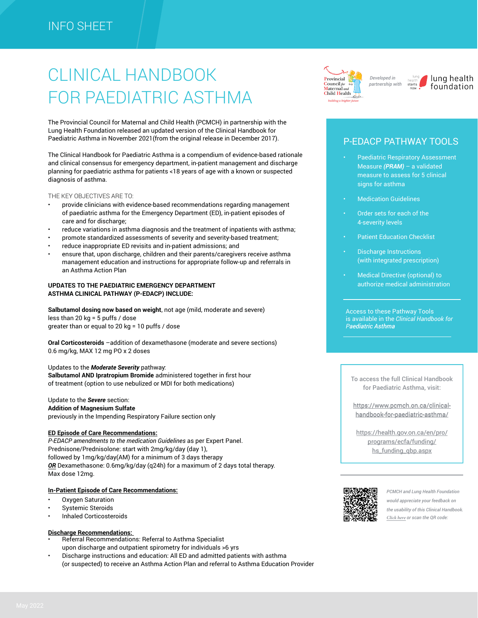# CLINICAL HANDBOOK FOR PAEDIATRIC ASTHMA

The Provincial Council for Maternal and Child Health (PCMCH) in partnership with the Lung Health Foundation released an updated version of the Clinical Handbook for Paediatric Asthma in November 2021(from the original release in December 2017).

The Clinical Handbook for Paediatric Asthma is a compendium of evidence-based rationale and clinical consensus for emergency department, in-patient management and discharge planning for paediatric asthma for patients <18 years of age with a known or suspected diagnosis of asthma.

#### THE KEY OBJECTIVES ARE TO:

- provide clinicians with evidence-based recommendations regarding management of paediatric asthma for the Emergency Department (ED), in-patient episodes of care and for discharge;
- reduce variations in asthma diagnosis and the treatment of inpatients with asthma;
- promote standardized assessments of severity and severity-based treatment;
- reduce inappropriate ED revisits and in-patient admissions; and
- ensure that, upon discharge, children and their parents/caregivers receive asthma management education and instructions for appropriate follow-up and referrals in an Asthma Action Plan

#### **UPDATES TO THE PAEDIATRIC EMERGENCY DEPARTMENT ASTHMA CLINICAL PATHWAY (P-EDACP) INCLUDE:**

**Salbutamol dosing now based on weight**, not age (mild, moderate and severe) less than 20 kg = 5 puffs / dose greater than or equal to 20 kg = 10 puffs / dose

**Oral Corticosteroids** –addition of dexamethasone (moderate and severe sections) 0.6 mg/kg, MAX 12 mg PO x 2 doses

#### Updates to the *Moderate Severity* pathway:

**Salbutamol AND Ipratropium Bromide** administered together in first hour of treatment (option to use nebulized or MDI for both medications)

#### Update to the *Severe* section:

**Addition of Magnesium Sulfate** previously in the Impending Respiratory Failure section only

#### **ED Episode of Care Recommendations:**

*P-EDACP amendments to the medication Guidelines* as per Expert Panel. Prednisone/Prednisolone: start with 2mg/kg/day (day 1), followed by 1mg/kg/day(AM) for a minimum of 3 days therapy *OR* Dexamethasone: 0.6mg/kg/day (q24h) for a maximum of 2 days total therapy. Max dose 12mg.

#### **In-Patient Episode of Care Recommendations:**

- Oxygen Saturation
- Systemic Steroids
- Inhaled Corticosteroids

#### **Discharge Recommendations:**

- Referral Recommendations: Referral to Asthma Specialist upon discharge and outpatient spirometry for individuals >6 yrs
- Discharge instructions and education: All ED and admitted patients with asthma (or suspected) to receive an Asthma Action Plan and referral to Asthma Education Provider



*partnership with*

lung health foundation

### P-EDACP PATHWAY TOOLS

- Paediatric Respiratory Assessment Measure *(PRAM)* – a validated measure to assess for 5 clinical signs for asthma
- Medication Guidelines
- Order sets for each of the 4-severity levels
- Patient Education Checklist
- Discharge Instructions (with integrated prescription)
- Medical Directive (optional) to authorize medical administration

Access to these Pathway Tools is available in the *Clinical Handbook for Paediatric Asthma aediatric* 

To access the full Clinical Handbook for Paediatric Asthma, visit:

[https://www.pcmch.on.ca/clinical-](https://www.pcmch.on.ca/clinical-handbook-for-paediatric-asthma/)https://www.pcmch.on.ca/clinicalhandbook-for-paediatric-asthma/

[https://health.gov.on.ca/en/pro/](https://health.gov.on.ca/en/pro/programs/ecfa/funding/hs_funding_qbp.aspx) programs/ecfa/funding/ hs\_funding\_qbp.aspx



*PCMCH and Lung Health Foundation would appreciate your feedback on the usability of this Clinical Handbook. [Click here](https://surveys.sickkids.ca/surveys/?s=348EFRRMTM9TAKWA) or scan the QR code:*